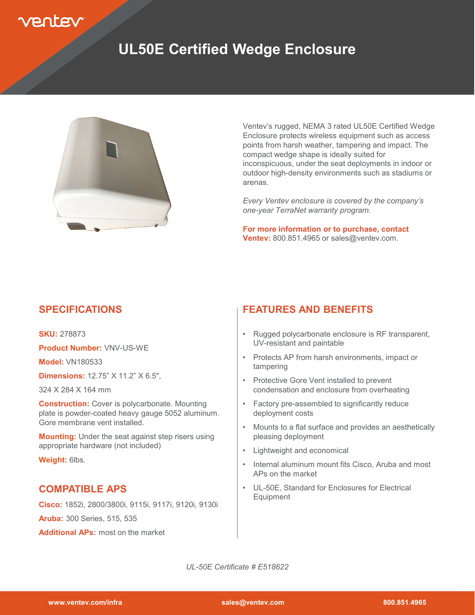

## **UL50E Certified Wedge Enclosure**



Ventev's rugged, NEMA 3 rated UL50E Certified Wedge Enclosure protects wireless equipment such as access points from harsh weather, tampering and impact. The compact wedge shape is ideally suited for inconspicuous, under the seat deployments in indoor or outdoor high-density environments such as stadiums or arenas.

*Every Ventev enclosure is covered by the company's one-year TerraNet warranty program.*

**For more information or to purchase, contact Ventev:** 800.851.4965 or sales@ventev.com.

#### **SPECIFICATIONS**

**SKU:** 278873

**Product Number:** VNV-US-WE

**Model:** VN180533

**Dimensions:** 12.75" X 11.2" X 6.5",

324 X 284 X 164 mm

**Construction:** Cover is polycarbonate. Mounting plate is powder-coated heavy gauge 5052 aluminum. Gore membrane vent installed.

**Mounting:** Under the seat against step risers using appropriate hardware (not included)

**Weight:** 6lbs.

#### **COMPATIBLE APS**

**Cisco:** 1852i, 2800/3800i, 9115i, 9117i, 9120i, 9130i

**Aruba:** 300 Series, 515, 535

**Additional APs:** most on the market

#### **FEATURES AND BENEFITS**

- Rugged polycarbonate enclosure is RF transparent, UV-resistant and paintable
- Protects AP from harsh environments, impact or tampering
- Protective Gore Vent installed to prevent condensation and enclosure from overheating
- Factory pre-assembled to significantly reduce deployment costs
- Mounts to a flat surface and provides an aesthetically pleasing deployment
- Lightweight and economical
- Internal aluminum mount fits Cisco, Aruba and most APs on the market
- UL-50E, Standard for Enclosures for Electrical Equipment

*UL-50E Certificate # E518622*